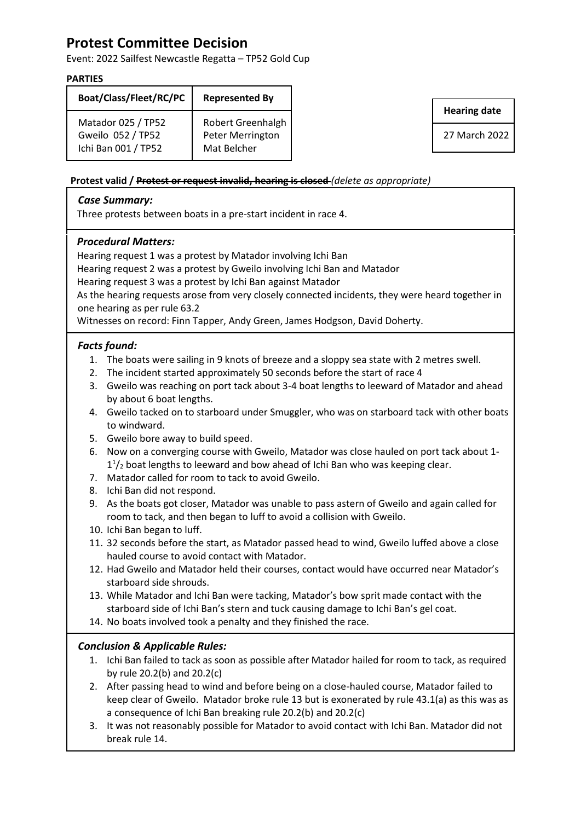# **Protest Committee Decision**

Event: 2022 Sailfest Newcastle Regatta – TP52 Gold Cup

#### **PARTIES**

| Boat/Class/Fleet/RC/PC                                         | <b>Represented By</b>                                |
|----------------------------------------------------------------|------------------------------------------------------|
| Matador 025 / TP52<br>Gweilo 052 / TP52<br>Ichi Ban 001 / TP52 | Robert Greenhalgh<br>Peter Merrington<br>Mat Belcher |

**Hearing date**

27 March 2022

#### **Protest valid / Protest or request invalid, hearing is closed** *(delete as appropriate)*

### *Case Summary:*

Three protests between boats in a pre-start incident in race 4.

## *Procedural Matters:*

Hearing request 1 was a protest by Matador involving Ichi Ban

Hearing request 2 was a protest by Gweilo involving Ichi Ban and Matador

Hearing request 3 was a protest by Ichi Ban against Matador

As the hearing requests arose from very closely connected incidents, they were heard together in one hearing as per rule 63.2

Witnesses on record: Finn Tapper, Andy Green, James Hodgson, David Doherty.

## *Facts found:*

- 1. The boats were sailing in 9 knots of breeze and a sloppy sea state with 2 metres swell.
- 2. The incident started approximately 50 seconds before the start of race 4
- 3. Gweilo was reaching on port tack about 3-4 boat lengths to leeward of Matador and ahead by about 6 boat lengths.
- 4. Gweilo tacked on to starboard under Smuggler, who was on starboard tack with other boats to windward.
- 5. Gweilo bore away to build speed.
- 6. Now on a converging course with Gweilo, Matador was close hauled on port tack about 1-  $1<sup>1</sup>/<sub>2</sub>$  boat lengths to leeward and bow ahead of Ichi Ban who was keeping clear.
- 7. Matador called for room to tack to avoid Gweilo.
- 8. Ichi Ban did not respond.
- 9. As the boats got closer, Matador was unable to pass astern of Gweilo and again called for room to tack, and then began to luff to avoid a collision with Gweilo.
- 10. Ichi Ban began to luff.
- 11. 32 seconds before the start, as Matador passed head to wind, Gweilo luffed above a close hauled course to avoid contact with Matador.
- 12. Had Gweilo and Matador held their courses, contact would have occurred near Matador's starboard side shrouds.
- 13. While Matador and Ichi Ban were tacking, Matador's bow sprit made contact with the starboard side of Ichi Ban's stern and tuck causing damage to Ichi Ban's gel coat.
- 14. No boats involved took a penalty and they finished the race.

## *Conclusion & Applicable Rules:*

- 1. Ichi Ban failed to tack as soon as possible after Matador hailed for room to tack, as required by rule 20.2(b) and 20.2(c)
- 2. After passing head to wind and before being on a close-hauled course, Matador failed to keep clear of Gweilo. Matador broke rule 13 but is exonerated by rule 43.1(a) as this was as a consequence of Ichi Ban breaking rule 20.2(b) and 20.2(c)
- 3. It was not reasonably possible for Matador to avoid contact with Ichi Ban. Matador did not break rule 14.